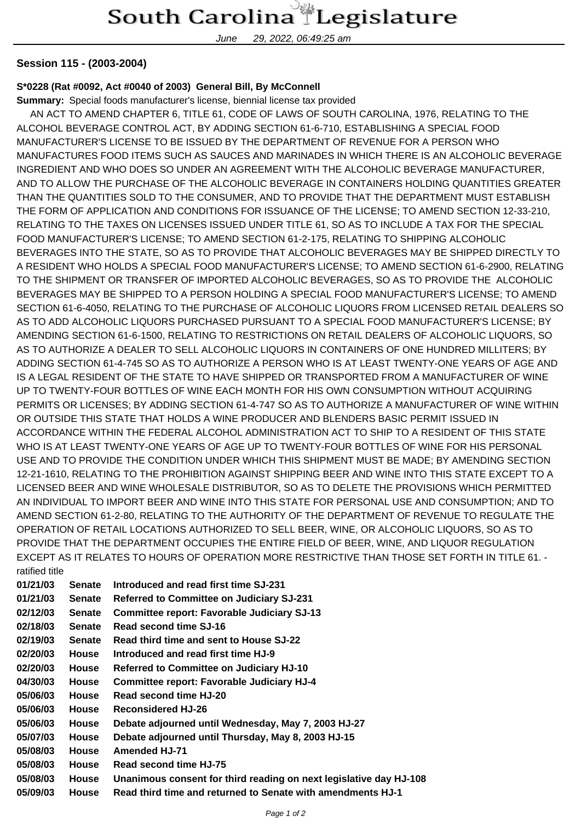## South Carolina Legislature

June 29, 2022, 06:49:25 am

## **Session 115 - (2003-2004)**

## **S\*0228 (Rat #0092, Act #0040 of 2003) General Bill, By McConnell**

**Summary:** Special foods manufacturer's license, biennial license tax provided

 AN ACT TO AMEND CHAPTER 6, TITLE 61, CODE OF LAWS OF SOUTH CAROLINA, 1976, RELATING TO THE ALCOHOL BEVERAGE CONTROL ACT, BY ADDING SECTION 61-6-710, ESTABLISHING A SPECIAL FOOD MANUFACTURER'S LICENSE TO BE ISSUED BY THE DEPARTMENT OF REVENUE FOR A PERSON WHO MANUFACTURES FOOD ITEMS SUCH AS SAUCES AND MARINADES IN WHICH THERE IS AN ALCOHOLIC BEVERAGE INGREDIENT AND WHO DOES SO UNDER AN AGREEMENT WITH THE ALCOHOLIC BEVERAGE MANUFACTURER, AND TO ALLOW THE PURCHASE OF THE ALCOHOLIC BEVERAGE IN CONTAINERS HOLDING QUANTITIES GREATER THAN THE QUANTITIES SOLD TO THE CONSUMER, AND TO PROVIDE THAT THE DEPARTMENT MUST ESTABLISH THE FORM OF APPLICATION AND CONDITIONS FOR ISSUANCE OF THE LICENSE; TO AMEND SECTION 12-33-210, RELATING TO THE TAXES ON LICENSES ISSUED UNDER TITLE 61, SO AS TO INCLUDE A TAX FOR THE SPECIAL FOOD MANUFACTURER'S LICENSE; TO AMEND SECTION 61-2-175, RELATING TO SHIPPING ALCOHOLIC BEVERAGES INTO THE STATE, SO AS TO PROVIDE THAT ALCOHOLIC BEVERAGES MAY BE SHIPPED DIRECTLY TO A RESIDENT WHO HOLDS A SPECIAL FOOD MANUFACTURER'S LICENSE; TO AMEND SECTION 61-6-2900, RELATING TO THE SHIPMENT OR TRANSFER OF IMPORTED ALCOHOLIC BEVERAGES, SO AS TO PROVIDE THE ALCOHOLIC BEVERAGES MAY BE SHIPPED TO A PERSON HOLDING A SPECIAL FOOD MANUFACTURER'S LICENSE; TO AMEND SECTION 61-6-4050, RELATING TO THE PURCHASE OF ALCOHOLIC LIQUORS FROM LICENSED RETAIL DEALERS SO AS TO ADD ALCOHOLIC LIQUORS PURCHASED PURSUANT TO A SPECIAL FOOD MANUFACTURER'S LICENSE; BY AMENDING SECTION 61-6-1500, RELATING TO RESTRICTIONS ON RETAIL DEALERS OF ALCOHOLIC LIQUORS, SO AS TO AUTHORIZE A DEALER TO SELL ALCOHOLIC LIQUORS IN CONTAINERS OF ONE HUNDRED MILLITERS; BY ADDING SECTION 61-4-745 SO AS TO AUTHORIZE A PERSON WHO IS AT LEAST TWENTY-ONE YEARS OF AGE AND IS A LEGAL RESIDENT OF THE STATE TO HAVE SHIPPED OR TRANSPORTED FROM A MANUFACTURER OF WINE UP TO TWENTY-FOUR BOTTLES OF WINE EACH MONTH FOR HIS OWN CONSUMPTION WITHOUT ACQUIRING PERMITS OR LICENSES; BY ADDING SECTION 61-4-747 SO AS TO AUTHORIZE A MANUFACTURER OF WINE WITHIN OR OUTSIDE THIS STATE THAT HOLDS A WINE PRODUCER AND BLENDERS BASIC PERMIT ISSUED IN ACCORDANCE WITHIN THE FEDERAL ALCOHOL ADMINISTRATION ACT TO SHIP TO A RESIDENT OF THIS STATE WHO IS AT LEAST TWENTY-ONE YEARS OF AGE UP TO TWENTY-FOUR BOTTLES OF WINE FOR HIS PERSONAL USE AND TO PROVIDE THE CONDITION UNDER WHICH THIS SHIPMENT MUST BE MADE; BY AMENDING SECTION 12-21-1610, RELATING TO THE PROHIBITION AGAINST SHIPPING BEER AND WINE INTO THIS STATE EXCEPT TO A LICENSED BEER AND WINE WHOLESALE DISTRIBUTOR, SO AS TO DELETE THE PROVISIONS WHICH PERMITTED AN INDIVIDUAL TO IMPORT BEER AND WINE INTO THIS STATE FOR PERSONAL USE AND CONSUMPTION; AND TO AMEND SECTION 61-2-80, RELATING TO THE AUTHORITY OF THE DEPARTMENT OF REVENUE TO REGULATE THE OPERATION OF RETAIL LOCATIONS AUTHORIZED TO SELL BEER, WINE, OR ALCOHOLIC LIQUORS, SO AS TO PROVIDE THAT THE DEPARTMENT OCCUPIES THE ENTIRE FIELD OF BEER, WINE, AND LIQUOR REGULATION EXCEPT AS IT RELATES TO HOURS OF OPERATION MORE RESTRICTIVE THAN THOSE SET FORTH IN TITLE 61. ratified title

| 01/21/03 | <b>Senate</b> | Introduced and read first time SJ-231                              |
|----------|---------------|--------------------------------------------------------------------|
| 01/21/03 | <b>Senate</b> | <b>Referred to Committee on Judiciary SJ-231</b>                   |
| 02/12/03 | <b>Senate</b> | <b>Committee report: Favorable Judiciary SJ-13</b>                 |
| 02/18/03 | <b>Senate</b> | Read second time SJ-16                                             |
| 02/19/03 | <b>Senate</b> | Read third time and sent to House SJ-22                            |
| 02/20/03 | <b>House</b>  | Introduced and read first time HJ-9                                |
| 02/20/03 | <b>House</b>  | <b>Referred to Committee on Judiciary HJ-10</b>                    |
| 04/30/03 | <b>House</b>  | <b>Committee report: Favorable Judiciary HJ-4</b>                  |
| 05/06/03 | <b>House</b>  | Read second time HJ-20                                             |
| 05/06/03 | House         | <b>Reconsidered HJ-26</b>                                          |
| 05/06/03 | House         | Debate adjourned until Wednesday, May 7, 2003 HJ-27                |
| 05/07/03 | <b>House</b>  | Debate adjourned until Thursday, May 8, 2003 HJ-15                 |
| 05/08/03 | <b>House</b>  | <b>Amended HJ-71</b>                                               |
| 05/08/03 | House         | Read second time HJ-75                                             |
| 05/08/03 | House         | Unanimous consent for third reading on next legislative day HJ-108 |
| 05/09/03 | <b>House</b>  | Read third time and returned to Senate with amendments HJ-1        |
|          |               |                                                                    |